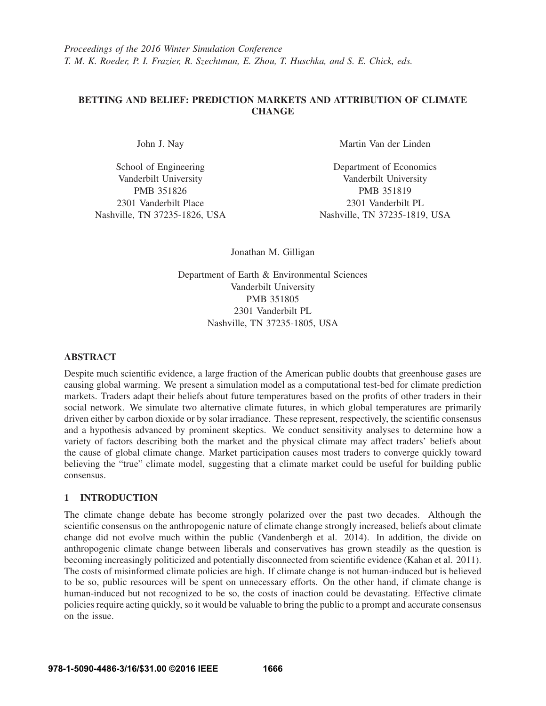# BETTING AND BELIEF: PREDICTION MARKETS AND ATTRIBUTION OF CLIMATE **CHANGE**

John J. Nay

School of Engineering Vanderbilt University PMB 351826 2301 Vanderbilt Place Nashville, TN 37235-1826, USA Martin Van der Linden

Department of Economics Vanderbilt University PMB 351819 2301 Vanderbilt PL Nashville, TN 37235-1819, USA

Jonathan M. Gilligan

Department of Earth & Environmental Sciences Vanderbilt University PMB 351805 2301 Vanderbilt PL Nashville, TN 37235-1805, USA

## ABSTRACT

Despite much scientific evidence, a large fraction of the American public doubts that greenhouse gases are causing global warming. We present a simulation model as a computational test-bed for climate prediction markets. Traders adapt their beliefs about future temperatures based on the profits of other traders in their social network. We simulate two alternative climate futures, in which global temperatures are primarily driven either by carbon dioxide or by solar irradiance. These represent, respectively, the scientific consensus and a hypothesis advanced by prominent skeptics. We conduct sensitivity analyses to determine how a variety of factors describing both the market and the physical climate may affect traders' beliefs about the cause of global climate change. Market participation causes most traders to converge quickly toward believing the "true" climate model, suggesting that a climate market could be useful for building public consensus.

# 1 INTRODUCTION

The climate change debate has become strongly polarized over the past two decades. Although the scientific consensus on the anthropogenic nature of climate change strongly increased, beliefs about climate change did not evolve much within the public (Vandenbergh et al. 2014). In addition, the divide on anthropogenic climate change between liberals and conservatives has grown steadily as the question is becoming increasingly politicized and potentially disconnected from scientific evidence (Kahan et al. 2011). The costs of misinformed climate policies are high. If climate change is not human-induced but is believed to be so, public resources will be spent on unnecessary efforts. On the other hand, if climate change is human-induced but not recognized to be so, the costs of inaction could be devastating. Effective climate policies require acting quickly, so it would be valuable to bring the public to a prompt and accurate consensus on the issue.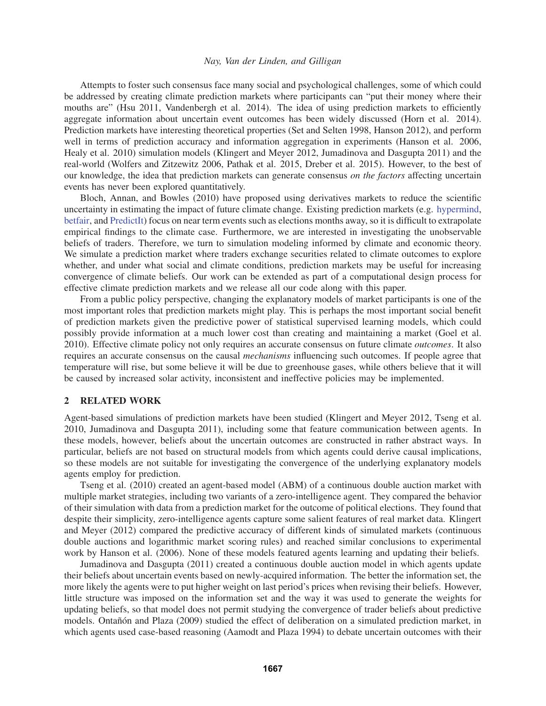Attempts to foster such consensus face many social and psychological challenges, some of which could be addressed by creating climate prediction markets where participants can "put their money where their mouths are" (Hsu 2011, Vandenbergh et al. 2014). The idea of using prediction markets to efficiently aggregate information about uncertain event outcomes has been widely discussed (Horn et al. 2014). Prediction markets have interesting theoretical properties (Set and Selten 1998, Hanson 2012), and perform well in terms of prediction accuracy and information aggregation in experiments (Hanson et al. 2006, Healy et al. 2010) simulation models (Klingert and Meyer 2012, Jumadinova and Dasgupta 2011) and the real-world (Wolfers and Zitzewitz 2006, Pathak et al. 2015, Dreber et al. 2015). However, to the best of our knowledge, the idea that prediction markets can generate consensus *on the factors* affecting uncertain events has never been explored quantitatively.

Bloch, Annan, and Bowles (2010) have proposed using derivatives markets to reduce the scientific uncertainty in estimating the impact of future climate change. Existing prediction markets (e.g. hypermind, betfair, and PredictIt) focus on near term events such as elections months away, so it is difficult to extrapolate empirical findings to the climate case. Furthermore, we are interested in investigating the unobservable beliefs of traders. Therefore, we turn to simulation modeling informed by climate and economic theory. We simulate a prediction market where traders exchange securities related to climate outcomes to explore whether, and under what social and climate conditions, prediction markets may be useful for increasing convergence of climate beliefs. Our work can be extended as part of a computational design process for effective climate prediction markets and we release all our code along with this paper.

From a public policy perspective, changing the explanatory models of market participants is one of the most important roles that prediction markets might play. This is perhaps the most important social benefit of prediction markets given the predictive power of statistical supervised learning models, which could possibly provide information at a much lower cost than creating and maintaining a market (Goel et al. 2010). Effective climate policy not only requires an accurate consensus on future climate *outcomes*. It also requires an accurate consensus on the causal *mechanisms* influencing such outcomes. If people agree that temperature will rise, but some believe it will be due to greenhouse gases, while others believe that it will be caused by increased solar activity, inconsistent and ineffective policies may be implemented.

### 2 RELATED WORK

Agent-based simulations of prediction markets have been studied (Klingert and Meyer 2012, Tseng et al. 2010, Jumadinova and Dasgupta 2011), including some that feature communication between agents. In these models, however, beliefs about the uncertain outcomes are constructed in rather abstract ways. In particular, beliefs are not based on structural models from which agents could derive causal implications, so these models are not suitable for investigating the convergence of the underlying explanatory models agents employ for prediction.

Tseng et al. (2010) created an agent-based model (ABM) of a continuous double auction market with multiple market strategies, including two variants of a zero-intelligence agent. They compared the behavior of their simulation with data from a prediction market for the outcome of political elections. They found that despite their simplicity, zero-intelligence agents capture some salient features of real market data. Klingert and Meyer (2012) compared the predictive accuracy of different kinds of simulated markets (continuous double auctions and logarithmic market scoring rules) and reached similar conclusions to experimental work by Hanson et al. (2006). None of these models featured agents learning and updating their beliefs.

Jumadinova and Dasgupta (2011) created a continuous double auction model in which agents update their beliefs about uncertain events based on newly-acquired information. The better the information set, the more likely the agents were to put higher weight on last period's prices when revising their beliefs. However, little structure was imposed on the information set and the way it was used to generate the weights for updating beliefs, so that model does not permit studying the convergence of trader beliefs about predictive models. Ontañón and Plaza (2009) studied the effect of deliberation on a simulated prediction market, in which agents used case-based reasoning (Aamodt and Plaza 1994) to debate uncertain outcomes with their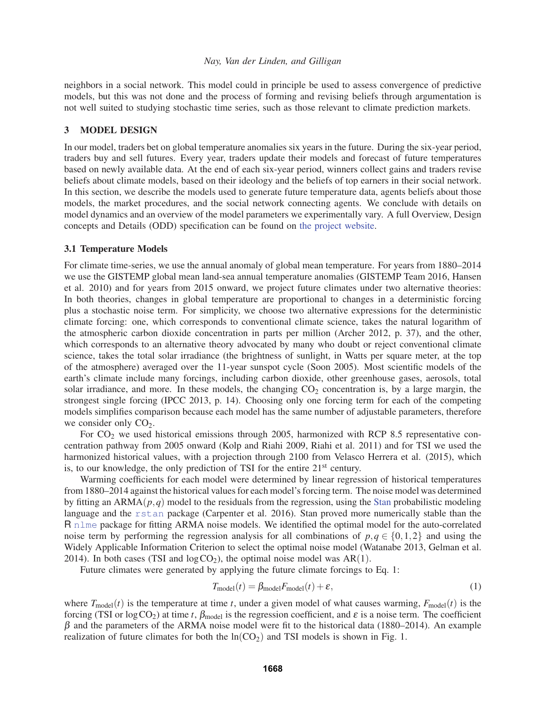neighbors in a social network. This model could in principle be used to assess convergence of predictive models, but this was not done and the process of forming and revising beliefs through argumentation is not well suited to studying stochastic time series, such as those relevant to climate prediction markets.

## 3 MODEL DESIGN

In our model, traders bet on global temperature anomalies six years in the future. During the six-year period, traders buy and sell futures. Every year, traders update their models and forecast of future temperatures based on newly available data. At the end of each six-year period, winners collect gains and traders revise beliefs about climate models, based on their ideology and the beliefs of top earners in their social network. In this section, we describe the models used to generate future temperature data, agents beliefs about those models, the market procedures, and the social network connecting agents. We conclude with details on model dynamics and an overview of the model parameters we experimentally vary. A full Overview, Design concepts and Details (ODD) specification can be found on the project website.

### 3.1 Temperature Models

For climate time-series, we use the annual anomaly of global mean temperature. For years from 1880–2014 we use the GISTEMP global mean land-sea annual temperature anomalies (GISTEMP Team 2016, Hansen et al. 2010) and for years from 2015 onward, we project future climates under two alternative theories: In both theories, changes in global temperature are proportional to changes in a deterministic forcing plus a stochastic noise term. For simplicity, we choose two alternative expressions for the deterministic climate forcing: one, which corresponds to conventional climate science, takes the natural logarithm of the atmospheric carbon dioxide concentration in parts per million (Archer 2012, p. 37), and the other, which corresponds to an alternative theory advocated by many who doubt or reject conventional climate science, takes the total solar irradiance (the brightness of sunlight, in Watts per square meter, at the top of the atmosphere) averaged over the 11-year sunspot cycle (Soon 2005). Most scientific models of the earth's climate include many forcings, including carbon dioxide, other greenhouse gases, aerosols, total solar irradiance, and more. In these models, the changing  $CO<sub>2</sub>$  concentration is, by a large margin, the strongest single forcing (IPCC 2013, p. 14). Choosing only one forcing term for each of the competing models simplifies comparison because each model has the same number of adjustable parameters, therefore we consider only  $CO<sub>2</sub>$ .

For  $CO<sub>2</sub>$  we used historical emissions through 2005, harmonized with RCP 8.5 representative concentration pathway from 2005 onward (Kolp and Riahi 2009, Riahi et al. 2011) and for TSI we used the harmonized historical values, with a projection through 2100 from Velasco Herrera et al. (2015), which is, to our knowledge, the only prediction of TSI for the entire 21<sup>st</sup> century.

Warming coefficients for each model were determined by linear regression of historical temperatures from 1880–2014 against the historical values for each model's forcing term. The noise model was determined by fitting an ARMA(*p*,*q*) model to the residuals from the regression, using the Stan probabilistic modeling language and the rstan package (Carpenter et al. 2016). Stan proved more numerically stable than the R nlme package for fitting ARMA noise models. We identified the optimal model for the auto-correlated noise term by performing the regression analysis for all combinations of  $p, q \in \{0, 1, 2\}$  and using the Widely Applicable Information Criterion to select the optimal noise model (Watanabe 2013, Gelman et al. 2014). In both cases (TSI and  $log CO<sub>2</sub>$ ), the optimal noise model was AR(1).

Future climates were generated by applying the future climate forcings to Eq. 1:

$$
T_{\text{model}}(t) = \beta_{\text{model}} F_{\text{model}}(t) + \varepsilon,\tag{1}
$$

where  $T_{\text{model}}(t)$  is the temperature at time *t*, under a given model of what causes warming,  $F_{\text{model}}(t)$  is the forcing (TSI or  $log CO_2$ ) at time *t*,  $\beta_{model}$  is the regression coefficient, and  $\varepsilon$  is a noise term. The coefficient  $\beta$  and the parameters of the ARMA noise model were fit to the historical data (1880–2014). An example realization of future climates for both the  $ln(CO<sub>2</sub>)$  and TSI models is shown in Fig. 1.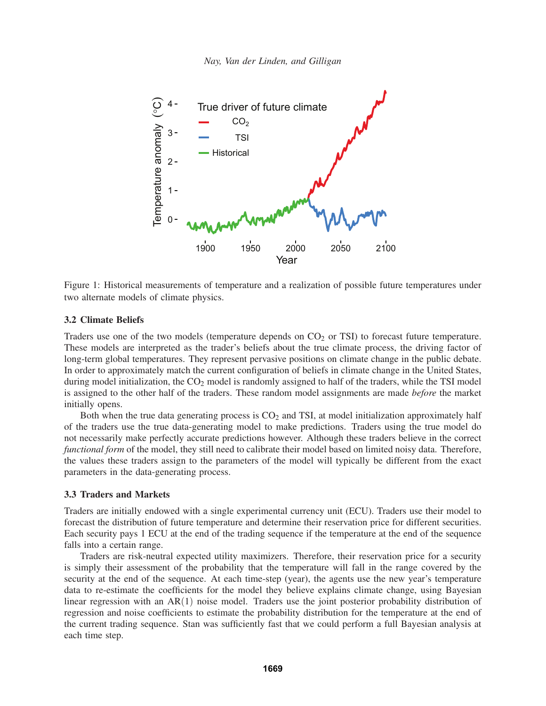

Figure 1: Historical measurements of temperature and a realization of possible future temperatures under two alternate models of climate physics.

### 3.2 Climate Beliefs

Traders use one of the two models (temperature depends on  $CO<sub>2</sub>$  or TSI) to forecast future temperature. These models are interpreted as the trader's beliefs about the true climate process, the driving factor of long-term global temperatures. They represent pervasive positions on climate change in the public debate. In order to approximately match the current configuration of beliefs in climate change in the United States, during model initialization, the  $CO<sub>2</sub>$  model is randomly assigned to half of the traders, while the TSI model is assigned to the other half of the traders. These random model assignments are made *before* the market initially opens.

Both when the true data generating process is  $CO<sub>2</sub>$  and TSI, at model initialization approximately half of the traders use the true data-generating model to make predictions. Traders using the true model do not necessarily make perfectly accurate predictions however. Although these traders believe in the correct *functional form* of the model, they still need to calibrate their model based on limited noisy data. Therefore, the values these traders assign to the parameters of the model will typically be different from the exact parameters in the data-generating process.

## 3.3 Traders and Markets

Traders are initially endowed with a single experimental currency unit (ECU). Traders use their model to forecast the distribution of future temperature and determine their reservation price for different securities. Each security pays 1 ECU at the end of the trading sequence if the temperature at the end of the sequence falls into a certain range.

Traders are risk-neutral expected utility maximizers. Therefore, their reservation price for a security is simply their assessment of the probability that the temperature will fall in the range covered by the security at the end of the sequence. At each time-step (year), the agents use the new year's temperature data to re-estimate the coefficients for the model they believe explains climate change, using Bayesian linear regression with an AR(1) noise model. Traders use the joint posterior probability distribution of regression and noise coefficients to estimate the probability distribution for the temperature at the end of the current trading sequence. Stan was sufficiently fast that we could perform a full Bayesian analysis at each time step.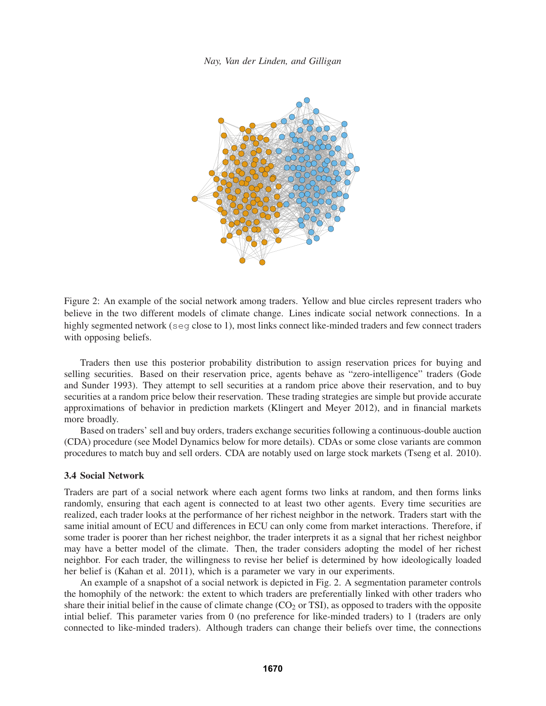

Figure 2: An example of the social network among traders. Yellow and blue circles represent traders who believe in the two different models of climate change. Lines indicate social network connections. In a highly segmented network (seq close to 1), most links connect like-minded traders and few connect traders with opposing beliefs.

Traders then use this posterior probability distribution to assign reservation prices for buying and selling securities. Based on their reservation price, agents behave as "zero-intelligence" traders (Gode and Sunder 1993). They attempt to sell securities at a random price above their reservation, and to buy securities at a random price below their reservation. These trading strategies are simple but provide accurate approximations of behavior in prediction markets (Klingert and Meyer 2012), and in financial markets more broadly.

Based on traders' sell and buy orders, traders exchange securities following a continuous-double auction (CDA) procedure (see Model Dynamics below for more details). CDAs or some close variants are common procedures to match buy and sell orders. CDA are notably used on large stock markets (Tseng et al. 2010).

### 3.4 Social Network

Traders are part of a social network where each agent forms two links at random, and then forms links randomly, ensuring that each agent is connected to at least two other agents. Every time securities are realized, each trader looks at the performance of her richest neighbor in the network. Traders start with the same initial amount of ECU and differences in ECU can only come from market interactions. Therefore, if some trader is poorer than her richest neighbor, the trader interprets it as a signal that her richest neighbor may have a better model of the climate. Then, the trader considers adopting the model of her richest neighbor. For each trader, the willingness to revise her belief is determined by how ideologically loaded her belief is (Kahan et al. 2011), which is a parameter we vary in our experiments.

An example of a snapshot of a social network is depicted in Fig. 2. A segmentation parameter controls the homophily of the network: the extent to which traders are preferentially linked with other traders who share their initial belief in the cause of climate change  $(CO<sub>2</sub>$  or TSI), as opposed to traders with the opposite intial belief. This parameter varies from 0 (no preference for like-minded traders) to 1 (traders are only connected to like-minded traders). Although traders can change their beliefs over time, the connections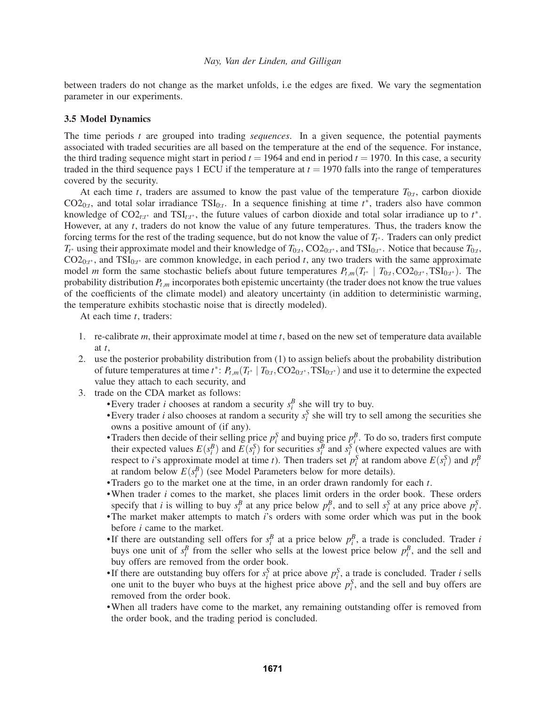between traders do not change as the market unfolds, i.e the edges are fixed. We vary the segmentation parameter in our experiments.

#### 3.5 Model Dynamics

The time periods *t* are grouped into trading *sequences*. In a given sequence, the potential payments associated with traded securities are all based on the temperature at the end of the sequence. For instance, the third trading sequence might start in period  $t = 1964$  and end in period  $t = 1970$ . In this case, a security traded in the third sequence pays 1 ECU if the temperature at  $t = 1970$  falls into the range of temperatures covered by the security.

At each time *t*, traders are assumed to know the past value of the temperature  $T_{0:t}$ , carbon dioxide  $CO2<sub>0:t</sub>$ , and total solar irradiance  $TSI<sub>0:t</sub>$ . In a sequence finishing at time  $t^*$ , traders also have common knowledge of CO2*t*:*t*<sup>∗</sup> and TSI*t*:*t*<sup>∗</sup> , the future values of carbon dioxide and total solar irradiance up to *t* ∗. However, at any *t*, traders do not know the value of any future temperatures. Thus, the traders know the forcing terms for the rest of the trading sequence, but do not know the value of  $T_t^*$ . Traders can only predict *Tt*<sup>∗</sup> using their approximate model and their knowledge of *T*0:*<sup>t</sup>*, CO20:*<sup>t</sup>*<sup>∗</sup> , and TSI0:*<sup>t</sup>*<sup>∗</sup> . Notice that because *T*0:*t*, CO20:*<sup>t</sup>*<sup>∗</sup> , and TSI0:*<sup>t</sup>*<sup>∗</sup> are common knowledge, in each period *t*, any two traders with the same approximate model *m* form the same stochastic beliefs about future temperatures  $P_{t,m}(T_{t^*} \mid T_{0:t},\text{CO2}_{0:t^*},\text{TSI}_{0:t^*})$ . The probability distribution *Pt*,*<sup>m</sup>* incorporates both epistemic uncertainty (the trader does not know the true values of the coefficients of the climate model) and aleatory uncertainty (in addition to deterministic warming, the temperature exhibits stochastic noise that is directly modeled).

At each time *t*, traders:

- 1. re-calibrate *m*, their approximate model at time *t*, based on the new set of temperature data available at *t*,
- 2. use the posterior probability distribution from (1) to assign beliefs about the probability distribution of future temperatures at time  $t^*$ :  $P_{t,m}(T_{t^*} | T_{0:t}, \text{CO2}_{0:t^*}, \text{TSI}_{0:t^*})$  and use it to determine the expected value they attach to each security, and
- 3. trade on the CDA market as follows:
	- •Every trader *i* chooses at random a security  $s_i^B$  she will try to buy.
	- •Every trader *i* also chooses at random a security  $s_i^S$  she will try to sell among the securities she owns a positive amount of (if any).
	- Traders then decide of their selling price  $p_i^S$  and buying price  $p_i^B$ . To do so, traders first compute their expected values  $E(s_i^B)$  and  $E(s_i^S)$  for securities  $s_i^B$  and  $s_i^S$  (where expected values are with respect to *i*'s approximate model at time *t*). Then traders set  $p_i^S$  at random above  $E(s_i^S)$  and  $p_i^B$ at random below  $E(s_i^B)$  (see Model Parameters below for more details).
	- •Traders go to the market one at the time, in an order drawn randomly for each *t*.
	- •When trader *i* comes to the market, she places limit orders in the order book. These orders specify that *i* is willing to buy  $s_i^B$  at any price below  $p_i^B$ , and to sell  $s_i^S$  at any price above  $p_i^S$ .
	- •The market maker attempts to match *i*'s orders with some order which was put in the book before *i* came to the market.
	- If there are outstanding sell offers for  $s_i^B$  at a price below  $p_i^B$ , a trade is concluded. Trader *i* buys one unit of  $s_i^B$  from the seller who sells at the lowest price below  $p_i^B$ , and the sell and buy offers are removed from the order book.
	- If there are outstanding buy offers for  $s_i^S$  at price above  $p_i^S$ , a trade is concluded. Trader *i* sells one unit to the buyer who buys at the highest price above  $p_i^S$ , and the sell and buy offers are removed from the order book.
	- •When all traders have come to the market, any remaining outstanding offer is removed from the order book, and the trading period is concluded.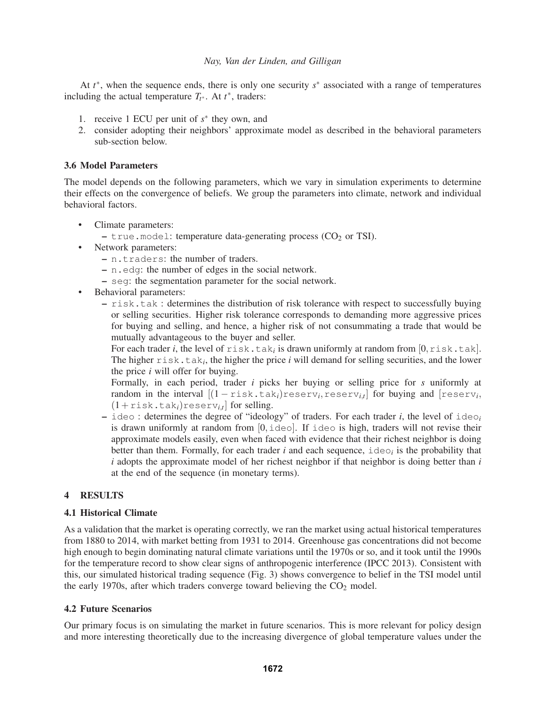At *t* ∗, when the sequence ends, there is only one security *s*∗ associated with a range of temperatures including the actual temperature  $T_{t^*}$ . At  $t^*$ , traders:

- 1. receive 1 ECU per unit of  $s^*$  they own, and
- 2. consider adopting their neighbors' approximate model as described in the behavioral parameters sub-section below.

## 3.6 Model Parameters

The model depends on the following parameters, which we vary in simulation experiments to determine their effects on the convergence of beliefs. We group the parameters into climate, network and individual behavioral factors.

- Climate parameters:
	- $-$  true.model: temperature data-generating process (CO<sub>2</sub> or TSI).
- Network parameters:
	- n.traders: the number of traders.
	- n.edg: the number of edges in the social network.
	- seg: the segmentation parameter for the social network.
- Behavioral parameters:
	- risk.tak : determines the distribution of risk tolerance with respect to successfully buying or selling securities. Higher risk tolerance corresponds to demanding more aggressive prices for buying and selling, and hence, a higher risk of not consummating a trade that would be mutually advantageous to the buyer and seller.

For each trader *i*, the level of  $risk.tak_i$  is drawn uniformly at random from  $[0, risk.tak]$ . The higher risk.tak*i*, the higher the price *i* will demand for selling securities, and the lower the price *i* will offer for buying.

Formally, in each period, trader *i* picks her buying or selling price for *s* uniformly at random in the interval  $[(1 - \text{risk.tak}_i) \text{reserv}_i, \text{reserv}_{i,t}]$  for buying and  $[\text{reserv}_i,$  $(1+risk.tak<sub>i</sub>)$ reserv<sub>it</sub> for selling.

– ideo : determines the degree of "ideology" of traders. For each trader *i*, the level of ideo*<sup>i</sup>* is drawn uniformly at random from  $[0, \text{ideo}]$ . If ideo is high, traders will not revise their approximate models easily, even when faced with evidence that their richest neighbor is doing better than them. Formally, for each trader  $i$  and each sequence,  $\pm \text{deo}_i$  is the probability that *i* adopts the approximate model of her richest neighbor if that neighbor is doing better than *i* at the end of the sequence (in monetary terms).

# 4 RESULTS

## 4.1 Historical Climate

As a validation that the market is operating correctly, we ran the market using actual historical temperatures from 1880 to 2014, with market betting from 1931 to 2014. Greenhouse gas concentrations did not become high enough to begin dominating natural climate variations until the 1970s or so, and it took until the 1990s for the temperature record to show clear signs of anthropogenic interference (IPCC 2013). Consistent with this, our simulated historical trading sequence (Fig. 3) shows convergence to belief in the TSI model until the early 1970s, after which traders converge toward believing the  $CO<sub>2</sub>$  model.

## 4.2 Future Scenarios

Our primary focus is on simulating the market in future scenarios. This is more relevant for policy design and more interesting theoretically due to the increasing divergence of global temperature values under the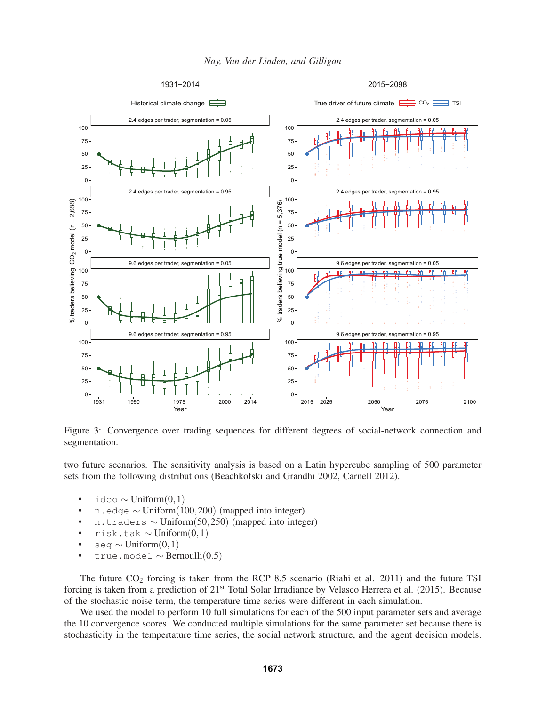



Figure 3: Convergence over trading sequences for different degrees of social-network connection and segmentation.

two future scenarios. The sensitivity analysis is based on a Latin hypercube sampling of 500 parameter sets from the following distributions (Beachkofski and Grandhi 2002, Carnell 2012).

- ideo ∼ Uniform $(0,1)$
- n.edge ∼ Uniform $(100,200)$  (mapped into integer)
- n.traders ∼ Uniform(50,250) (mapped into integer)
- risk.tak ∼ Uniform $(0,1)$
- seg  $\sim$  Uniform $(0,1)$
- true.model  $\sim$  Bernoulli(0.5)

The future  $CO_2$  forcing is taken from the RCP 8.5 scenario (Riahi et al. 2011) and the future TSI forcing is taken from a prediction of 21st Total Solar Irradiance by Velasco Herrera et al. (2015). Because of the stochastic noise term, the temperature time series were different in each simulation.

We used the model to perform 10 full simulations for each of the 500 input parameter sets and average the 10 convergence scores. We conducted multiple simulations for the same parameter set because there is stochasticity in the tempertature time series, the social network structure, and the agent decision models.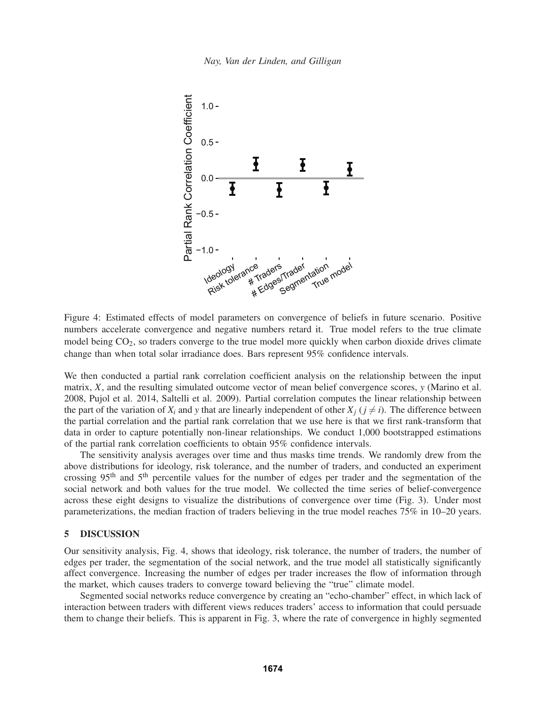

Figure 4: Estimated effects of model parameters on convergence of beliefs in future scenario. Positive numbers accelerate convergence and negative numbers retard it. True model refers to the true climate model being CO<sub>2</sub>, so traders converge to the true model more quickly when carbon dioxide drives climate change than when total solar irradiance does. Bars represent 95% confidence intervals.

We then conducted a partial rank correlation coefficient analysis on the relationship between the input matrix, *X*, and the resulting simulated outcome vector of mean belief convergence scores, *y* (Marino et al. 2008, Pujol et al. 2014, Saltelli et al. 2009). Partial correlation computes the linear relationship between the part of the variation of  $X_i$  and  $y$  that are linearly independent of other  $X_i$  ( $j \neq i$ ). The difference between the partial correlation and the partial rank correlation that we use here is that we first rank-transform that data in order to capture potentially non-linear relationships. We conduct 1,000 bootstrapped estimations of the partial rank correlation coefficients to obtain 95% confidence intervals.

The sensitivity analysis averages over time and thus masks time trends. We randomly drew from the above distributions for ideology, risk tolerance, and the number of traders, and conducted an experiment crossing 95th and 5th percentile values for the number of edges per trader and the segmentation of the social network and both values for the true model. We collected the time series of belief-convergence across these eight designs to visualize the distributions of convergence over time (Fig. 3). Under most parameterizations, the median fraction of traders believing in the true model reaches 75% in 10–20 years.

### 5 DISCUSSION

Our sensitivity analysis, Fig. 4, shows that ideology, risk tolerance, the number of traders, the number of edges per trader, the segmentation of the social network, and the true model all statistically significantly affect convergence. Increasing the number of edges per trader increases the flow of information through the market, which causes traders to converge toward believing the "true" climate model.

Segmented social networks reduce convergence by creating an "echo-chamber" effect, in which lack of interaction between traders with different views reduces traders' access to information that could persuade them to change their beliefs. This is apparent in Fig. 3, where the rate of convergence in highly segmented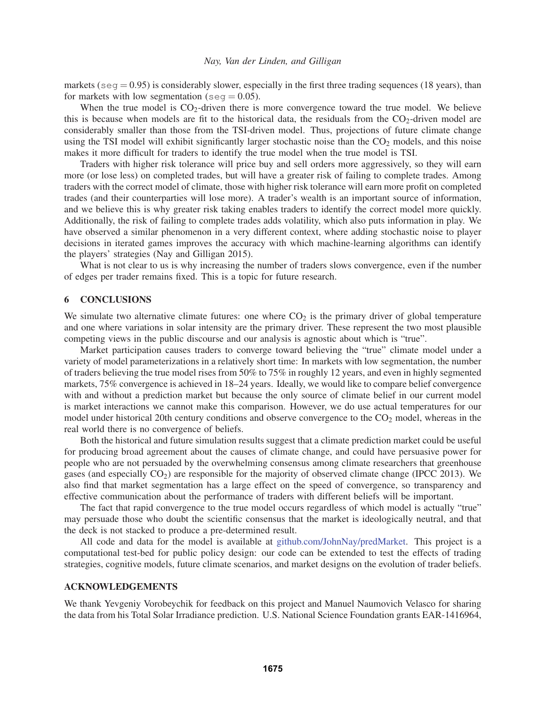markets ( $\sec$  = 0.95) is considerably slower, especially in the first three trading sequences (18 years), than for markets with low segmentation (seq  $= 0.05$ ).

When the true model is  $CO<sub>2</sub>$ -driven there is more convergence toward the true model. We believe this is because when models are fit to the historical data, the residuals from the  $CO<sub>2</sub>$ -driven model are considerably smaller than those from the TSI-driven model. Thus, projections of future climate change using the TSI model will exhibit significantly larger stochastic noise than the CO<sub>2</sub> models, and this noise makes it more difficult for traders to identify the true model when the true model is TSI.

Traders with higher risk tolerance will price buy and sell orders more aggressively, so they will earn more (or lose less) on completed trades, but will have a greater risk of failing to complete trades. Among traders with the correct model of climate, those with higher risk tolerance will earn more profit on completed trades (and their counterparties will lose more). A trader's wealth is an important source of information, and we believe this is why greater risk taking enables traders to identify the correct model more quickly. Additionally, the risk of failing to complete trades adds volatility, which also puts information in play. We have observed a similar phenomenon in a very different context, where adding stochastic noise to player decisions in iterated games improves the accuracy with which machine-learning algorithms can identify the players' strategies (Nay and Gilligan 2015).

What is not clear to us is why increasing the number of traders slows convergence, even if the number of edges per trader remains fixed. This is a topic for future research.

## 6 CONCLUSIONS

We simulate two alternative climate futures: one where  $CO<sub>2</sub>$  is the primary driver of global temperature and one where variations in solar intensity are the primary driver. These represent the two most plausible competing views in the public discourse and our analysis is agnostic about which is "true".

Market participation causes traders to converge toward believing the "true" climate model under a variety of model parameterizations in a relatively short time: In markets with low segmentation, the number of traders believing the true model rises from 50% to 75% in roughly 12 years, and even in highly segmented markets, 75% convergence is achieved in 18–24 years. Ideally, we would like to compare belief convergence with and without a prediction market but because the only source of climate belief in our current model is market interactions we cannot make this comparison. However, we do use actual temperatures for our model under historical 20th century conditions and observe convergence to the CO<sub>2</sub> model, whereas in the real world there is no convergence of beliefs.

Both the historical and future simulation results suggest that a climate prediction market could be useful for producing broad agreement about the causes of climate change, and could have persuasive power for people who are not persuaded by the overwhelming consensus among climate researchers that greenhouse gases (and especially  $CO<sub>2</sub>$ ) are responsible for the majority of observed climate change (IPCC 2013). We also find that market segmentation has a large effect on the speed of convergence, so transparency and effective communication about the performance of traders with different beliefs will be important.

The fact that rapid convergence to the true model occurs regardless of which model is actually "true" may persuade those who doubt the scientific consensus that the market is ideologically neutral, and that the deck is not stacked to produce a pre-determined result.

All code and data for the model is available at github.com/JohnNay/predMarket. This project is a computational test-bed for public policy design: our code can be extended to test the effects of trading strategies, cognitive models, future climate scenarios, and market designs on the evolution of trader beliefs.

### ACKNOWLEDGEMENTS

We thank Yevgeniy Vorobeychik for feedback on this project and Manuel Naumovich Velasco for sharing the data from his Total Solar Irradiance prediction. U.S. National Science Foundation grants EAR-1416964,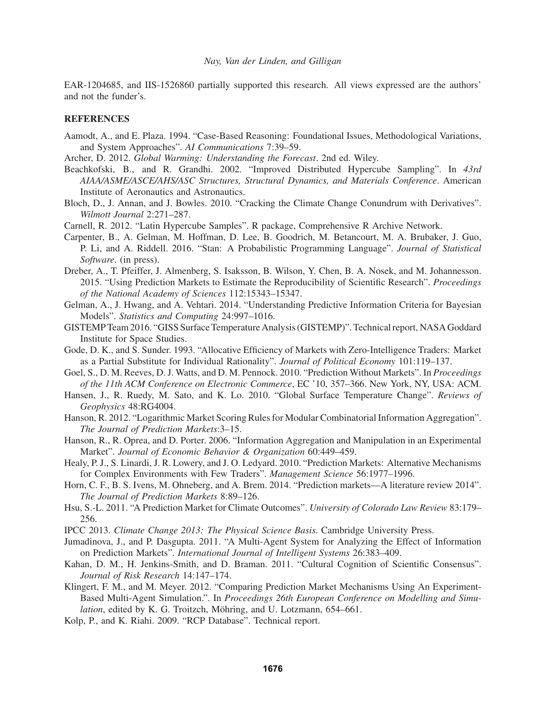EAR-1204685, and IIS-1526860 partially supported this research. All views expressed are the authors' and not the funder's.

### **REFERENCES**

- Aamodt, A., and E. Plaza. 1994. "Case-Based Reasoning: Foundational Issues, Methodological Variations, and System Approaches". *AI Communications* 7:39–59.
- Archer, D. 2012. *Global Warming: Understanding the Forecast*. 2nd ed. Wiley.
- Beachkofski, B., and R. Grandhi. 2002. "Improved Distributed Hypercube Sampling". In *43rd AIAA/ASME/ASCE/AHS/ASC Structures, Structural Dynamics, and Materials Conference*. American Institute of Aeronautics and Astronautics.
- Bloch, D., J. Annan, and J. Bowles. 2010. "Cracking the Climate Change Conundrum with Derivatives". *Wilmott Journal* 2:271–287.
- Carnell, R. 2012. "Latin Hypercube Samples". R package, Comprehensive R Archive Network.
- Carpenter, B., A. Gelman, M. Hoffman, D. Lee, B. Goodrich, M. Betancourt, M. A. Brubaker, J. Guo, P. Li, and A. Riddell. 2016. "Stan: A Probabilistic Programming Language". *Journal of Statistical Software*. (in press).
- Dreber, A., T. Pfeiffer, J. Almenberg, S. Isaksson, B. Wilson, Y. Chen, B. A. Nosek, and M. Johannesson. 2015. "Using Prediction Markets to Estimate the Reproducibility of Scientific Research". *Proceedings of the National Academy of Sciences* 112:15343–15347.
- Gelman, A., J. Hwang, and A. Vehtari. 2014. "Understanding Predictive Information Criteria for Bayesian Models". *Statistics and Computing* 24:997–1016.
- GISTEMP Team 2016. "GISS Surface Temperature Analysis (GISTEMP)". Technical report, NASA Goddard Institute for Space Studies.
- Gode, D. K., and S. Sunder. 1993. "Allocative Efficiency of Markets with Zero-Intelligence Traders: Market as a Partial Substitute for Individual Rationality". *Journal of Political Economy* 101:119–137.
- Goel, S., D. M. Reeves, D. J. Watts, and D. M. Pennock. 2010. "Prediction Without Markets". In *Proceedings of the 11th ACM Conference on Electronic Commerce*, EC '10, 357–366. New York, NY, USA: ACM.
- Hansen, J., R. Ruedy, M. Sato, and K. Lo. 2010. "Global Surface Temperature Change". *Reviews of Geophysics* 48:RG4004.
- Hanson, R. 2012. "Logarithmic Market Scoring Rules for Modular Combinatorial Information Aggregation". *The Journal of Prediction Markets*:3–15.
- Hanson, R., R. Oprea, and D. Porter. 2006. "Information Aggregation and Manipulation in an Experimental Market". *Journal of Economic Behavior & Organization* 60:449–459.
- Healy, P. J., S. Linardi, J. R. Lowery, and J. O. Ledyard. 2010. "Prediction Markets: Alternative Mechanisms for Complex Environments with Few Traders". *Management Science* 56:1977–1996.
- Horn, C. F., B. S. Ivens, M. Ohneberg, and A. Brem. 2014. "Prediction markets—A literature review 2014". *The Journal of Prediction Markets* 8:89–126.
- Hsu, S.-L. 2011. "A Prediction Market for Climate Outcomes". *University of Colorado Law Review* 83:179– 256.
- IPCC 2013. *Climate Change 2013: The Physical Science Basis*. Cambridge University Press.
- Jumadinova, J., and P. Dasgupta. 2011. "A Multi-Agent System for Analyzing the Effect of Information on Prediction Markets". *International Journal of Intelligent Systems* 26:383–409.
- Kahan, D. M., H. Jenkins-Smith, and D. Braman. 2011. "Cultural Cognition of Scientific Consensus". *Journal of Risk Research* 14:147–174.
- Klingert, F. M., and M. Meyer. 2012. "Comparing Prediction Market Mechanisms Using An Experiment-Based Multi-Agent Simulation.". In *Proceedings 26th European Conference on Modelling and Simulation*, edited by K. G. Troitzch, Möhring, and U. Lotzmann, 654–661.
- Kolp, P., and K. Riahi. 2009. "RCP Database". Technical report.